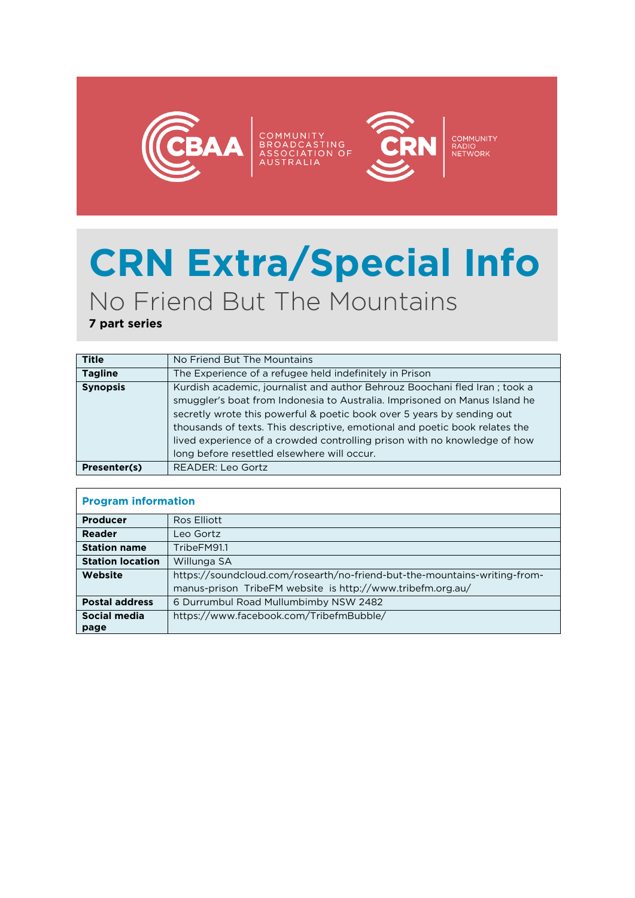

## **CRN Extra/Special Info** No Friend But The Mountains

**7 part series**

| <b>Title</b>    | No Friend But The Mountains                                                                                                                                                                                                        |
|-----------------|------------------------------------------------------------------------------------------------------------------------------------------------------------------------------------------------------------------------------------|
| <b>Tagline</b>  | The Experience of a refugee held indefinitely in Prison                                                                                                                                                                            |
| <b>Synopsis</b> | Kurdish academic, journalist and author Behrouz Boochani fled Iran; took a<br>smuggler's boat from Indonesia to Australia. Imprisoned on Manus Island he<br>secretly wrote this powerful & poetic book over 5 years by sending out |
|                 | thousands of texts. This descriptive, emotional and poetic book relates the<br>lived experience of a crowded controlling prison with no knowledge of how<br>long before resettled elsewhere will occur.                            |
| Presenter(s)    | READER: Leo Gortz                                                                                                                                                                                                                  |

| <b>Program information</b> |                                                                           |
|----------------------------|---------------------------------------------------------------------------|
| <b>Producer</b>            | Ros Elliott                                                               |
| Reader                     | Leo Gortz                                                                 |
| <b>Station name</b>        | TribeFM91.1                                                               |
| <b>Station location</b>    | Willunga SA                                                               |
| Website                    | https://soundcloud.com/rosearth/no-friend-but-the-mountains-writing-from- |
|                            | manus-prison TribeFM website is http://www.tribefm.org.au/                |
| <b>Postal address</b>      | 6 Durrumbul Road Mullumbimby NSW 2482                                     |
| Social media               | https://www.facebook.com/TribefmBubble/                                   |
| page                       |                                                                           |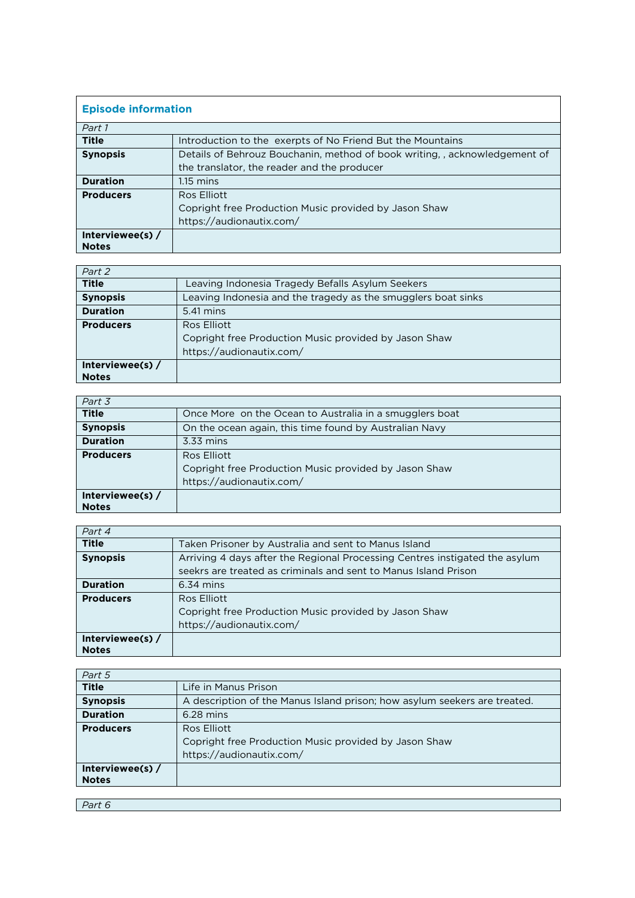| <b>Episode information</b> |                                                                          |
|----------------------------|--------------------------------------------------------------------------|
| Part 1                     |                                                                          |
| <b>Title</b>               | Introduction to the exerpts of No Friend But the Mountains               |
| <b>Synopsis</b>            | Details of Behrouz Bouchanin, method of book writing, acknowledgement of |
|                            | the translator, the reader and the producer                              |
| <b>Duration</b>            | $1.15 \text{ mins}$                                                      |
| <b>Producers</b>           | Ros Elliott                                                              |
|                            | Copright free Production Music provided by Jason Shaw                    |
|                            | https://audionautix.com/                                                 |
| Interviewee(s) $/$         |                                                                          |
| <b>Notes</b>               |                                                                          |

| Part 2             |                                                               |
|--------------------|---------------------------------------------------------------|
| <b>Title</b>       | Leaving Indonesia Tragedy Befalls Asylum Seekers              |
| <b>Synopsis</b>    | Leaving Indonesia and the tragedy as the smugglers boat sinks |
| <b>Duration</b>    | 5.41 mins                                                     |
| <b>Producers</b>   | Ros Elliott                                                   |
|                    | Copright free Production Music provided by Jason Shaw         |
|                    | https://audionautix.com/                                      |
| Interviewee(s) $/$ |                                                               |
| <b>Notes</b>       |                                                               |

| Part 3             |                                                         |
|--------------------|---------------------------------------------------------|
| <b>Title</b>       | Once More on the Ocean to Australia in a smugglers boat |
| <b>Synopsis</b>    | On the ocean again, this time found by Australian Navy  |
| <b>Duration</b>    | 3.33 mins                                               |
| <b>Producers</b>   | Ros Elliott                                             |
|                    | Copright free Production Music provided by Jason Shaw   |
|                    | https://audionautix.com/                                |
| Interviewee(s) $/$ |                                                         |
| <b>Notes</b>       |                                                         |

| Part 4                             |                                                                                                                                                |
|------------------------------------|------------------------------------------------------------------------------------------------------------------------------------------------|
| <b>Title</b>                       | Taken Prisoner by Australia and sent to Manus Island                                                                                           |
| <b>Synopsis</b>                    | Arriving 4 days after the Regional Processing Centres instigated the asylum<br>seekrs are treated as criminals and sent to Manus Island Prison |
| <b>Duration</b>                    | $6.34$ mins                                                                                                                                    |
| <b>Producers</b>                   | Ros Elliott<br>Copright free Production Music provided by Jason Shaw<br>https://audionautix.com/                                               |
| Interviewee(s) $/$<br><b>Notes</b> |                                                                                                                                                |

| Part 5             |                                                                           |
|--------------------|---------------------------------------------------------------------------|
| <b>Title</b>       | Life in Manus Prison                                                      |
| <b>Synopsis</b>    | A description of the Manus Island prison; how asylum seekers are treated. |
| <b>Duration</b>    | $6.28$ mins                                                               |
| <b>Producers</b>   | Ros Elliott                                                               |
|                    | Copright free Production Music provided by Jason Shaw                     |
|                    | https://audionautix.com/                                                  |
| Interviewee(s) $/$ |                                                                           |
| <b>Notes</b>       |                                                                           |
|                    |                                                                           |

*Part 6*